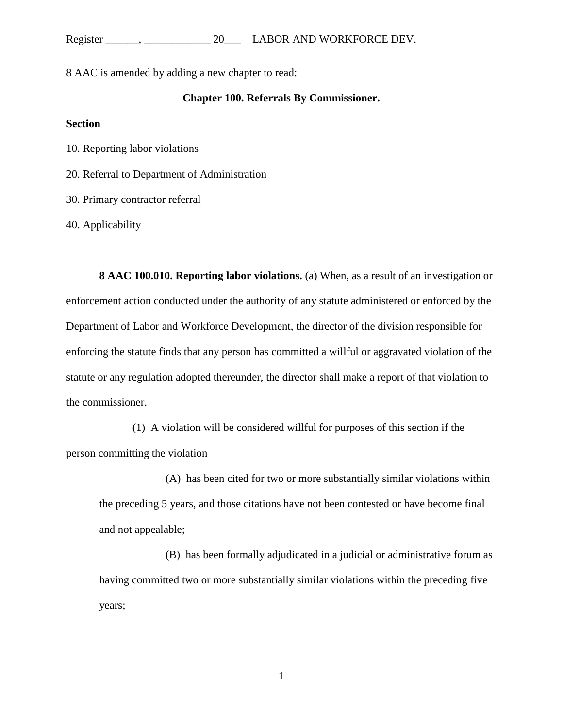## Register \_\_\_\_\_\_, \_\_\_\_\_\_\_\_\_\_\_\_\_\_\_\_ 20\_\_\_\_ LABOR AND WORKFORCE DEV.

8 AAC is amended by adding a new chapter to read:

### **Chapter 100. Referrals By Commissioner.**

#### **Section**

10. Reporting labor violations

20. Referral to Department of Administration

30. Primary contractor referral

40. Applicability

**8 AAC 100.010. Reporting labor violations.** (a) When, as a result of an investigation or enforcement action conducted under the authority of any statute administered or enforced by the Department of Labor and Workforce Development, the director of the division responsible for enforcing the statute finds that any person has committed a willful or aggravated violation of the statute or any regulation adopted thereunder, the director shall make a report of that violation to the commissioner.

(1) A violation will be considered willful for purposes of this section if the person committing the violation

(A) has been cited for two or more substantially similar violations within the preceding 5 years, and those citations have not been contested or have become final and not appealable;

(B) has been formally adjudicated in a judicial or administrative forum as having committed two or more substantially similar violations within the preceding five years;

1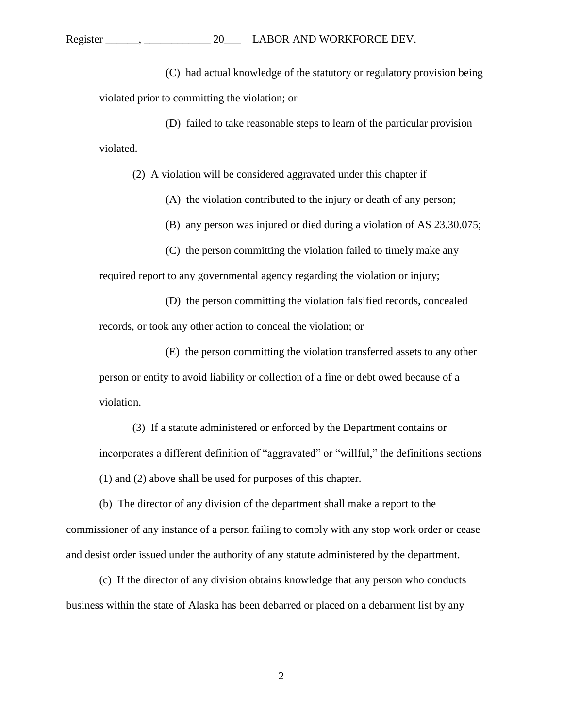# Register \_\_\_\_\_\_, \_\_\_\_\_\_\_\_\_\_\_\_\_\_\_\_ 20\_\_\_\_\_\_\_\_\_ LABOR AND WORKFORCE DEV.

(C) had actual knowledge of the statutory or regulatory provision being violated prior to committing the violation; or

(D) failed to take reasonable steps to learn of the particular provision violated.

(2) A violation will be considered aggravated under this chapter if

(A) the violation contributed to the injury or death of any person;

(B) any person was injured or died during a violation of AS 23.30.075;

(C) the person committing the violation failed to timely make any

required report to any governmental agency regarding the violation or injury;

(D) the person committing the violation falsified records, concealed records, or took any other action to conceal the violation; or

(E) the person committing the violation transferred assets to any other person or entity to avoid liability or collection of a fine or debt owed because of a violation.

(3) If a statute administered or enforced by the Department contains or incorporates a different definition of "aggravated" or "willful," the definitions sections (1) and (2) above shall be used for purposes of this chapter.

(b) The director of any division of the department shall make a report to the commissioner of any instance of a person failing to comply with any stop work order or cease and desist order issued under the authority of any statute administered by the department.

(c) If the director of any division obtains knowledge that any person who conducts business within the state of Alaska has been debarred or placed on a debarment list by any

2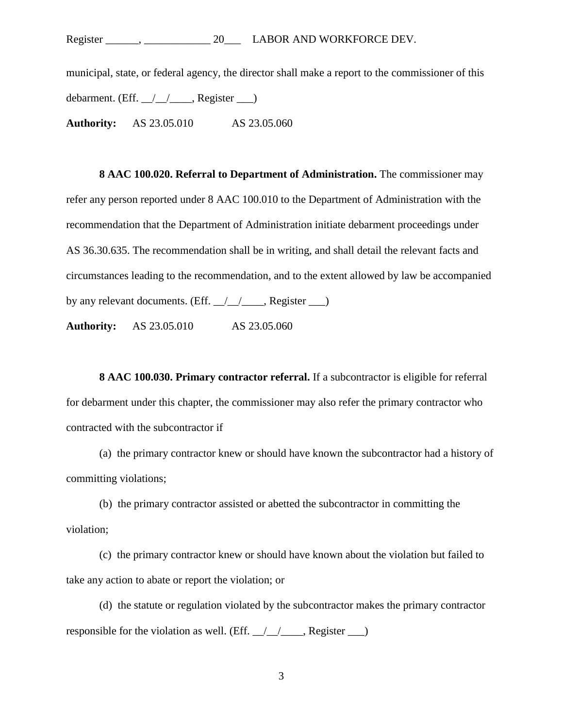## Register \_\_\_\_\_\_, \_\_\_\_\_\_\_\_\_\_\_\_\_\_\_\_ 20\_\_\_\_ LABOR AND WORKFORCE DEV.

municipal, state, or federal agency, the director shall make a report to the commissioner of this debarment. (Eff.  $\angle$   $\angle$   $\angle$  Register  $\Box$ ) **Authority:** AS 23.05.010 AS 23.05.060

**8 AAC 100.020. Referral to Department of Administration.** The commissioner may refer any person reported under 8 AAC 100.010 to the Department of Administration with the recommendation that the Department of Administration initiate debarment proceedings under AS 36.30.635. The recommendation shall be in writing, and shall detail the relevant facts and circumstances leading to the recommendation, and to the extent allowed by law be accompanied by any relevant documents. (Eff.  $\angle$  / $\angle$  , Register  $\Box$ )

**Authority:** AS 23.05.010 AS 23.05.060

**8 AAC 100.030. Primary contractor referral.** If a subcontractor is eligible for referral for debarment under this chapter, the commissioner may also refer the primary contractor who contracted with the subcontractor if

(a) the primary contractor knew or should have known the subcontractor had a history of committing violations;

(b) the primary contractor assisted or abetted the subcontractor in committing the violation;

(c) the primary contractor knew or should have known about the violation but failed to take any action to abate or report the violation; or

(d) the statute or regulation violated by the subcontractor makes the primary contractor responsible for the violation as well. (Eff.  $\angle$  /  $\angle$  , Register  $\angle$ )

3